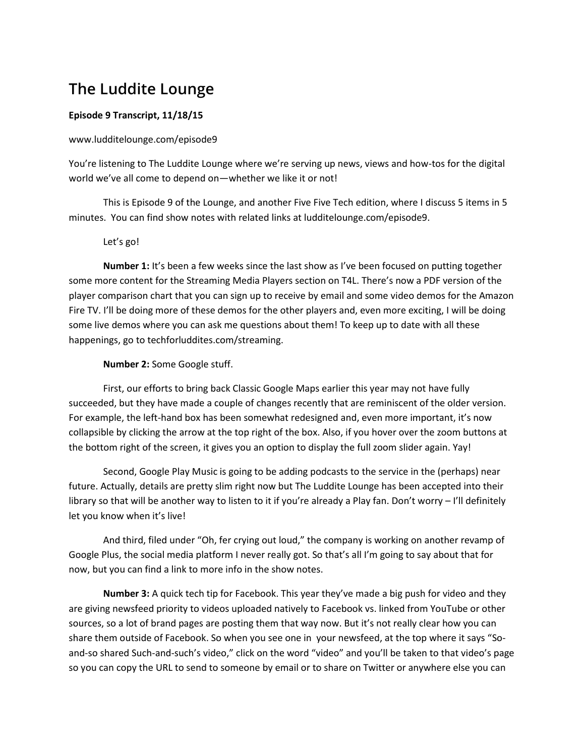# **The Luddite Lounge**

## **Episode 9 Transcript, 11/18/15**

#### www.ludditelounge.com/episode9

You're listening to The Luddite Lounge where we're serving up news, views and how-tos for the digital world we've all come to depend on—whether we like it or not!

This is Episode 9 of the Lounge, and another Five Five Tech edition, where I discuss 5 items in 5 minutes. You can find show notes with related links at ludditelounge.com/episode9.

#### Let's go!

**Number 1:** It's been a few weeks since the last show as I've been focused on putting together some more content for the Streaming Media Players section on T4L. There's now a PDF version of the player comparison chart that you can sign up to receive by email and some video demos for the Amazon Fire TV. I'll be doing more of these demos for the other players and, even more exciting, I will be doing some live demos where you can ask me questions about them! To keep up to date with all these happenings, go to techforluddites.com/streaming.

#### **Number 2:** Some Google stuff.

First, our efforts to bring back Classic Google Maps earlier this year may not have fully succeeded, but they have made a couple of changes recently that are reminiscent of the older version. For example, the left-hand box has been somewhat redesigned and, even more important, it's now collapsible by clicking the arrow at the top right of the box. Also, if you hover over the zoom buttons at the bottom right of the screen, it gives you an option to display the full zoom slider again. Yay!

Second, Google Play Music is going to be adding podcasts to the service in the (perhaps) near future. Actually, details are pretty slim right now but The Luddite Lounge has been accepted into their library so that will be another way to listen to it if you're already a Play fan. Don't worry – I'll definitely let you know when it's live!

And third, filed under "Oh, fer crying out loud," the company is working on another revamp of Google Plus, the social media platform I never really got. So that's all I'm going to say about that for now, but you can find a link to more info in the show notes.

**Number 3:** A quick tech tip for Facebook. This year they've made a big push for video and they are giving newsfeed priority to videos uploaded natively to Facebook vs. linked from YouTube or other sources, so a lot of brand pages are posting them that way now. But it's not really clear how you can share them outside of Facebook. So when you see one in your newsfeed, at the top where it says "Soand-so shared Such-and-such's video," click on the word "video" and you'll be taken to that video's page so you can copy the URL to send to someone by email or to share on Twitter or anywhere else you can